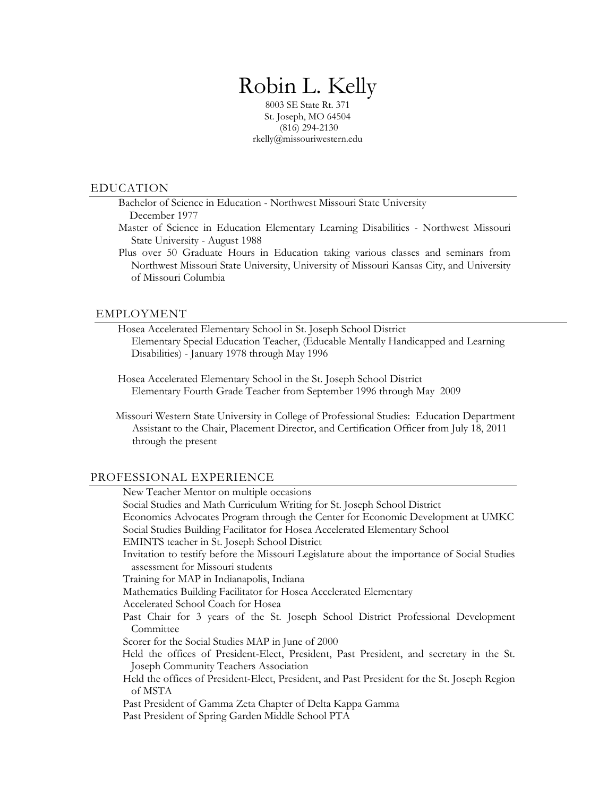# Robin L. Kelly

8003 SE State Rt. 371 St. Joseph, MO 64504 (816) 294-2130 rkelly@missouriwestern.edu

### EDUCATION

Bachelor of Science in Education - Northwest Missouri State University December 1977

Master of Science in Education Elementary Learning Disabilities - Northwest Missouri State University - August 1988

Plus over 50 Graduate Hours in Education taking various classes and seminars from Northwest Missouri State University, University of Missouri Kansas City, and University of Missouri Columbia

#### EMPLOYMENT

Hosea Accelerated Elementary School in St. Joseph School District Elementary Special Education Teacher, (Educable Mentally Handicapped and Learning Disabilities) - January 1978 through May 1996

Hosea Accelerated Elementary School in the St. Joseph School District Elementary Fourth Grade Teacher from September 1996 through May 2009

 Missouri Western State University in College of Professional Studies: Education Department Assistant to the Chair, Placement Director, and Certification Officer from July 18, 2011 through the present

#### PROFESSIONAL EXPERIENCE

 New Teacher Mentor on multiple occasions Social Studies and Math Curriculum Writing for St. Joseph School District Economics Advocates Program through the Center for Economic Development at UMKC Social Studies Building Facilitator for Hosea Accelerated Elementary School EMINTS teacher in St. Joseph School District Invitation to testify before the Missouri Legislature about the importance of Social Studies assessment for Missouri students Training for MAP in Indianapolis, Indiana Mathematics Building Facilitator for Hosea Accelerated Elementary Accelerated School Coach for Hosea Past Chair for 3 years of the St. Joseph School District Professional Development **Committee** Scorer for the Social Studies MAP in June of 2000 Held the offices of President-Elect, President, Past President, and secretary in the St. Joseph Community Teachers Association Held the offices of President-Elect, President, and Past President for the St. Joseph Region of MSTA Past President of Gamma Zeta Chapter of Delta Kappa Gamma Past President of Spring Garden Middle School PTA